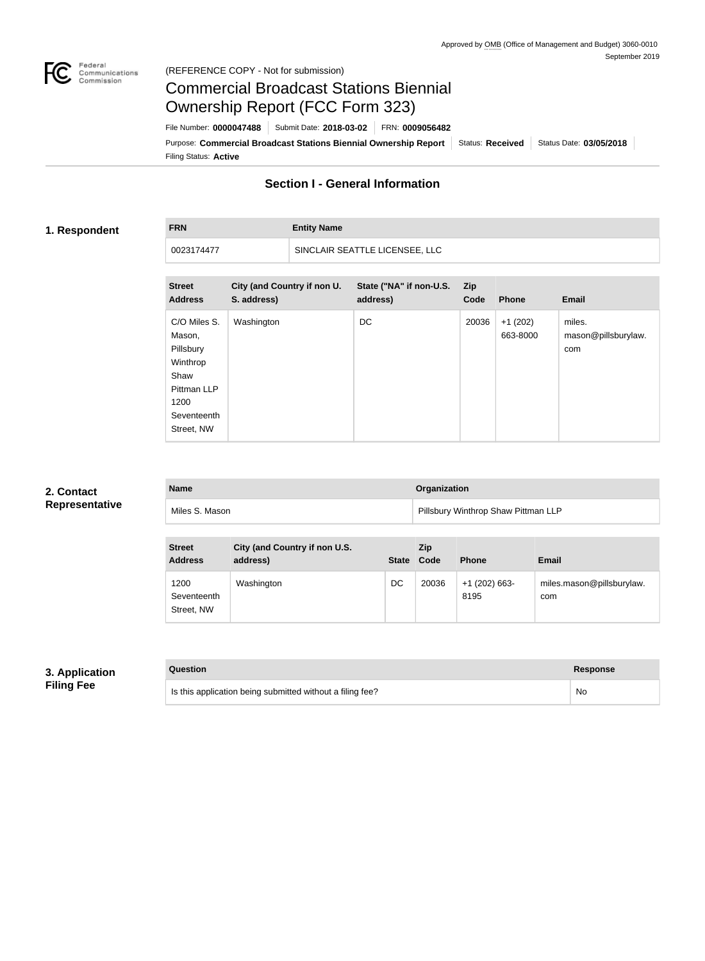

### Federal<br>Communications<br>Commission (REFERENCE COPY - Not for submission)

# Commercial Broadcast Stations Biennial Ownership Report (FCC Form 323)

Filing Status: **Active** Purpose: Commercial Broadcast Stations Biennial Ownership Report Status: Received Status Date: 03/05/2018 File Number: **0000047488** Submit Date: **2018-03-02** FRN: **0009056482**

# **Section I - General Information**

### **1. Respondent**

**FRN Entity Name** 0023174477 SINCLAIR SEATTLE LICENSEE, LLC

| <b>Street</b><br><b>Address</b>                                                                             | City (and Country if non U.<br>S. address) | State ("NA" if non-U.S.<br>address) | <b>Zip</b><br>Code | <b>Phone</b>          | <b>Email</b>                         |
|-------------------------------------------------------------------------------------------------------------|--------------------------------------------|-------------------------------------|--------------------|-----------------------|--------------------------------------|
| C/O Miles S.<br>Mason,<br>Pillsbury<br>Winthrop<br>Shaw<br>Pittman LLP<br>1200<br>Seventeenth<br>Street, NW | Washington                                 | DC                                  | 20036              | $+1(202)$<br>663-8000 | miles.<br>mason@pillsburylaw.<br>com |

# **2. Contact Representative**

| <b>Name</b>    | <b>Organization</b>                 |
|----------------|-------------------------------------|
| Miles S. Mason | Pillsbury Winthrop Shaw Pittman LLP |

| <b>Street</b><br><b>Address</b>   | City (and Country if non U.S.<br>address) | <b>State</b> | <b>Zip</b><br>Code | <b>Phone</b>            | <b>Email</b>                     |
|-----------------------------------|-------------------------------------------|--------------|--------------------|-------------------------|----------------------------------|
| 1200<br>Seventeenth<br>Street, NW | Washington                                | DC           | 20036              | $+1$ (202) 663-<br>8195 | miles.mason@pillsburylaw.<br>com |

# **3. Application Filing Fee**

| Question                                                  | Response |
|-----------------------------------------------------------|----------|
| Is this application being submitted without a filing fee? | No       |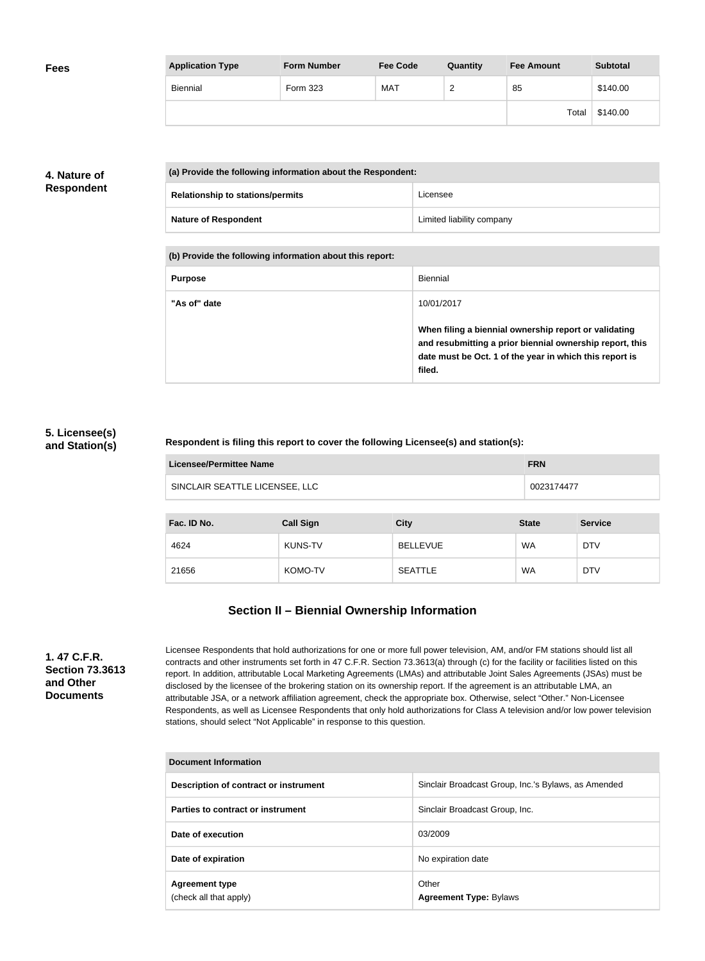| <b>Fees</b> | <b>Application Type</b> | <b>Form Number</b> | <b>Fee Code</b> | Quantity      | <b>Fee Amount</b> | <b>Subtotal</b> |
|-------------|-------------------------|--------------------|-----------------|---------------|-------------------|-----------------|
|             | Biennial                | Form 323           | <b>MAT</b>      | ີ<br><u>_</u> | 85                | \$140.00        |
|             |                         |                    |                 |               | Total             | \$140.00        |

# **4. Nature of Respondent**

| (a) Provide the following information about the Respondent: |                           |
|-------------------------------------------------------------|---------------------------|
| <b>Relationship to stations/permits</b>                     | Licensee                  |
| <b>Nature of Respondent</b>                                 | Limited liability company |

**(b) Provide the following information about this report:**

| <b>Purpose</b> | Biennial                                                                                                                                                                               |
|----------------|----------------------------------------------------------------------------------------------------------------------------------------------------------------------------------------|
| "As of" date   | 10/01/2017                                                                                                                                                                             |
|                | When filing a biennial ownership report or validating<br>and resubmitting a prior biennial ownership report, this<br>date must be Oct. 1 of the year in which this report is<br>filed. |

## **5. Licensee(s) and Station(s)**

### **Respondent is filing this report to cover the following Licensee(s) and station(s):**

| Licensee/Permittee Name        | <b>FRN</b> |
|--------------------------------|------------|
| SINCLAIR SEATTLE LICENSEE, LLC | 0023174477 |

| Fac. ID No. | <b>Call Sign</b> | <b>City</b>     | <b>State</b> | <b>Service</b> |
|-------------|------------------|-----------------|--------------|----------------|
| 4624        | <b>KUNS-TV</b>   | <b>BELLEVUE</b> | <b>WA</b>    | <b>DTV</b>     |
| 21656       | KOMO-TV          | <b>SEATTLE</b>  | <b>WA</b>    | <b>DTV</b>     |

# **Section II – Biennial Ownership Information**

**1. 47 C.F.R. Section 73.3613 and Other Documents**

Licensee Respondents that hold authorizations for one or more full power television, AM, and/or FM stations should list all contracts and other instruments set forth in 47 C.F.R. Section 73.3613(a) through (c) for the facility or facilities listed on this report. In addition, attributable Local Marketing Agreements (LMAs) and attributable Joint Sales Agreements (JSAs) must be disclosed by the licensee of the brokering station on its ownership report. If the agreement is an attributable LMA, an attributable JSA, or a network affiliation agreement, check the appropriate box. Otherwise, select "Other." Non-Licensee Respondents, as well as Licensee Respondents that only hold authorizations for Class A television and/or low power television stations, should select "Not Applicable" in response to this question.

| Document Information                            |                                                     |
|-------------------------------------------------|-----------------------------------------------------|
| Description of contract or instrument           | Sinclair Broadcast Group, Inc.'s Bylaws, as Amended |
| Parties to contract or instrument               | Sinclair Broadcast Group, Inc.                      |
| Date of execution                               | 03/2009                                             |
| Date of expiration                              | No expiration date                                  |
| <b>Agreement type</b><br>(check all that apply) | Other<br><b>Agreement Type: Bylaws</b>              |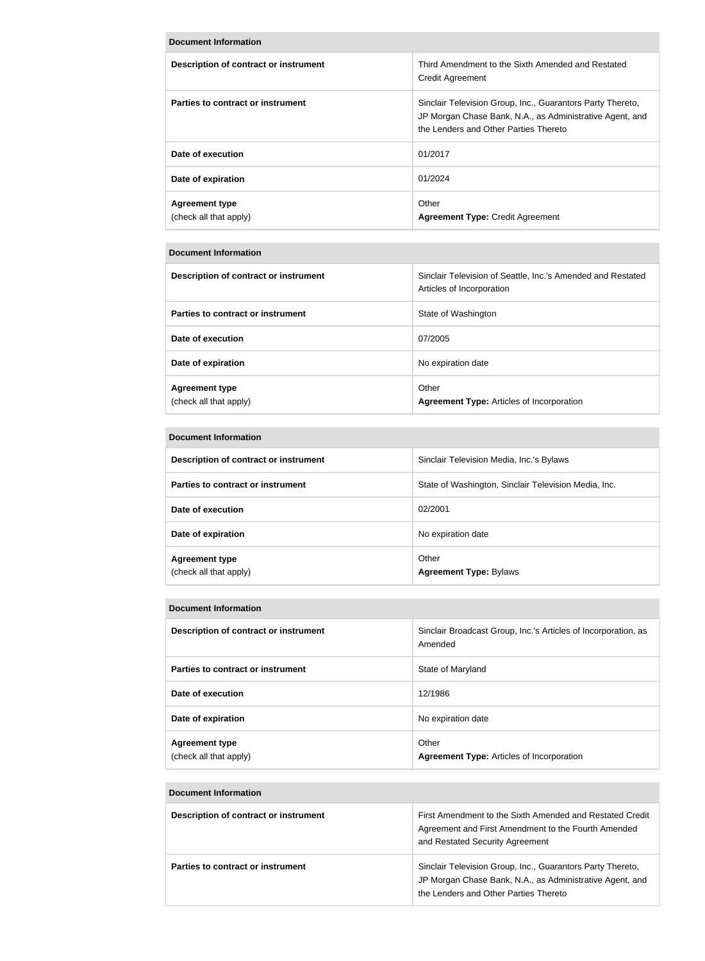| <b>Document Information</b>                     |                                                                                                                                                                 |
|-------------------------------------------------|-----------------------------------------------------------------------------------------------------------------------------------------------------------------|
| Description of contract or instrument           | Third Amendment to the Sixth Amended and Restated<br><b>Credit Agreement</b>                                                                                    |
| Parties to contract or instrument               | Sinclair Television Group, Inc., Guarantors Party Thereto,<br>JP Morgan Chase Bank, N.A., as Administrative Agent, and<br>the Lenders and Other Parties Thereto |
| Date of execution                               | 01/2017                                                                                                                                                         |
| Date of expiration                              | 01/2024                                                                                                                                                         |
| <b>Agreement type</b><br>(check all that apply) | Other<br><b>Agreement Type: Credit Agreement</b>                                                                                                                |

#### **Document Information**

| Description of contract or instrument           | Sinclair Television of Seattle, Inc.'s Amended and Restated<br>Articles of Incorporation |
|-------------------------------------------------|------------------------------------------------------------------------------------------|
| Parties to contract or instrument               | State of Washington                                                                      |
| Date of execution                               | 07/2005                                                                                  |
| Date of expiration                              | No expiration date                                                                       |
| <b>Agreement type</b><br>(check all that apply) | Other<br><b>Agreement Type: Articles of Incorporation</b>                                |

#### **Document Information**

| Description of contract or instrument           | Sinclair Television Media, Inc.'s Bylaws             |
|-------------------------------------------------|------------------------------------------------------|
| Parties to contract or instrument               | State of Washington, Sinclair Television Media, Inc. |
| Date of execution                               | 02/2001                                              |
| Date of expiration                              | No expiration date                                   |
| <b>Agreement type</b><br>(check all that apply) | Other<br><b>Agreement Type: Bylaws</b>               |

#### **Document Information**

| Description of contract or instrument           | Sinclair Broadcast Group, Inc.'s Articles of Incorporation, as<br>Amended |
|-------------------------------------------------|---------------------------------------------------------------------------|
| Parties to contract or instrument               | State of Maryland                                                         |
| Date of execution                               | 12/1986                                                                   |
| Date of expiration                              | No expiration date                                                        |
| <b>Agreement type</b><br>(check all that apply) | Other<br><b>Agreement Type: Articles of Incorporation</b>                 |

#### **Document Information**

| Description of contract or instrument    | First Amendment to the Sixth Amended and Restated Credit<br>Agreement and First Amendment to the Fourth Amended<br>and Restated Security Agreement              |
|------------------------------------------|-----------------------------------------------------------------------------------------------------------------------------------------------------------------|
| <b>Parties to contract or instrument</b> | Sinclair Television Group, Inc., Guarantors Party Thereto,<br>JP Morgan Chase Bank, N.A., as Administrative Agent, and<br>the Lenders and Other Parties Thereto |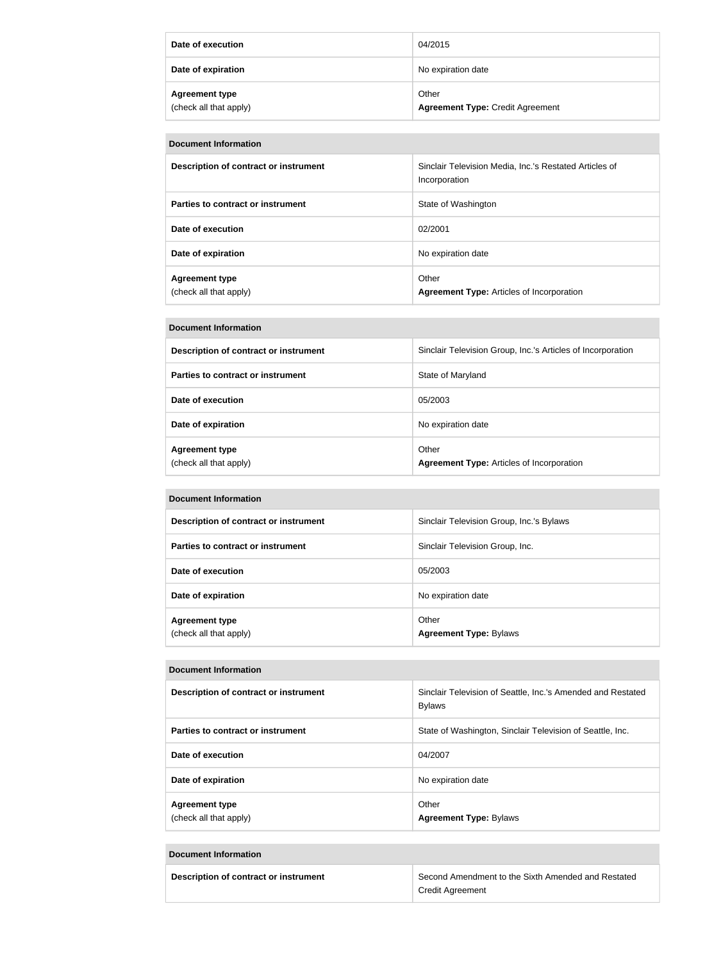| Date of execution                               | 04/2015                                          |
|-------------------------------------------------|--------------------------------------------------|
| Date of expiration                              | No expiration date                               |
| <b>Agreement type</b><br>(check all that apply) | Other<br><b>Agreement Type: Credit Agreement</b> |

| <b>Document Information</b>                     |                                                                         |
|-------------------------------------------------|-------------------------------------------------------------------------|
| Description of contract or instrument           | Sinclair Television Media, Inc.'s Restated Articles of<br>Incorporation |
| Parties to contract or instrument               | State of Washington                                                     |
| Date of execution                               | 02/2001                                                                 |
| Date of expiration                              | No expiration date                                                      |
| <b>Agreement type</b><br>(check all that apply) | Other<br><b>Agreement Type: Articles of Incorporation</b>               |

| Document Information |  |
|----------------------|--|
|                      |  |

| Description of contract or instrument           | Sinclair Television Group, Inc.'s Articles of Incorporation |
|-------------------------------------------------|-------------------------------------------------------------|
| Parties to contract or instrument               | State of Maryland                                           |
| Date of execution                               | 05/2003                                                     |
| Date of expiration                              | No expiration date                                          |
| <b>Agreement type</b><br>(check all that apply) | Other<br><b>Agreement Type: Articles of Incorporation</b>   |

| <b>Document Information</b>                     |                                          |
|-------------------------------------------------|------------------------------------------|
| <b>Description of contract or instrument</b>    | Sinclair Television Group, Inc.'s Bylaws |
| Parties to contract or instrument               | Sinclair Television Group, Inc.          |
| Date of execution                               | 05/2003                                  |
| Date of expiration                              | No expiration date                       |
| <b>Agreement type</b><br>(check all that apply) | Other<br><b>Agreement Type: Bylaws</b>   |

#### **Document Information**

| Description of contract or instrument           | Sinclair Television of Seattle, Inc.'s Amended and Restated<br>Bylaws |
|-------------------------------------------------|-----------------------------------------------------------------------|
| <b>Parties to contract or instrument</b>        | State of Washington, Sinclair Television of Seattle, Inc.             |
| Date of execution                               | 04/2007                                                               |
| Date of expiration                              | No expiration date                                                    |
| <b>Agreement type</b><br>(check all that apply) | Other<br><b>Agreement Type: Bylaws</b>                                |

#### **Document Information**

| Description of contract or instrument | Second Amendment to the Sixth Amended and Restated |
|---------------------------------------|----------------------------------------------------|
|                                       | <b>Credit Agreement</b>                            |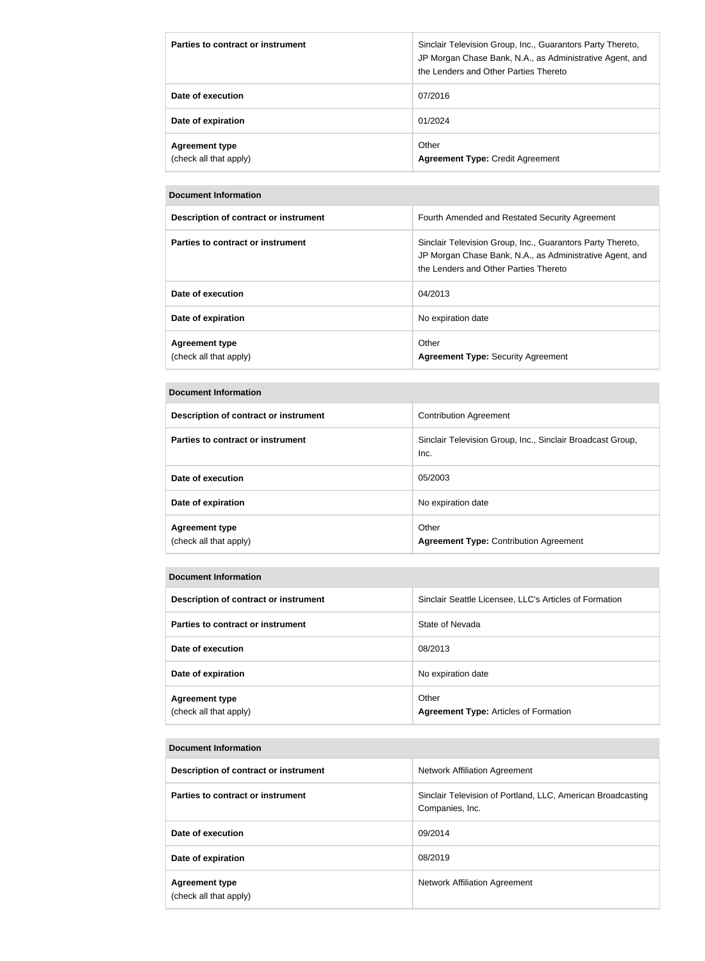| Parties to contract or instrument               | Sinclair Television Group, Inc., Guarantors Party Thereto,<br>JP Morgan Chase Bank, N.A., as Administrative Agent, and<br>the Lenders and Other Parties Thereto |
|-------------------------------------------------|-----------------------------------------------------------------------------------------------------------------------------------------------------------------|
| Date of execution                               | 07/2016                                                                                                                                                         |
| Date of expiration                              | 01/2024                                                                                                                                                         |
| <b>Agreement type</b><br>(check all that apply) | Other<br><b>Agreement Type: Credit Agreement</b>                                                                                                                |

#### **Document Information**

| Description of contract or instrument           | Fourth Amended and Restated Security Agreement                                                                                                                  |
|-------------------------------------------------|-----------------------------------------------------------------------------------------------------------------------------------------------------------------|
| Parties to contract or instrument               | Sinclair Television Group, Inc., Guarantors Party Thereto,<br>JP Morgan Chase Bank, N.A., as Administrative Agent, and<br>the Lenders and Other Parties Thereto |
| Date of execution                               | 04/2013                                                                                                                                                         |
| Date of expiration                              | No expiration date                                                                                                                                              |
| <b>Agreement type</b><br>(check all that apply) | Other<br><b>Agreement Type: Security Agreement</b>                                                                                                              |

#### **Document Information**

| Description of contract or instrument           | <b>Contribution Agreement</b>                                      |
|-------------------------------------------------|--------------------------------------------------------------------|
| Parties to contract or instrument               | Sinclair Television Group, Inc., Sinclair Broadcast Group,<br>Inc. |
| Date of execution                               | 05/2003                                                            |
| Date of expiration                              | No expiration date                                                 |
| <b>Agreement type</b><br>(check all that apply) | Other<br><b>Agreement Type: Contribution Agreement</b>             |

#### **Document Information**

| Description of contract or instrument           | Sinclair Seattle Licensee, LLC's Articles of Formation |
|-------------------------------------------------|--------------------------------------------------------|
| Parties to contract or instrument               | State of Nevada                                        |
| Date of execution                               | 08/2013                                                |
| Date of expiration                              | No expiration date                                     |
| <b>Agreement type</b><br>(check all that apply) | Other<br><b>Agreement Type: Articles of Formation</b>  |

#### **Document Information**

| Description of contract or instrument           | <b>Network Affiliation Agreement</b>                                           |
|-------------------------------------------------|--------------------------------------------------------------------------------|
| Parties to contract or instrument               | Sinclair Television of Portland, LLC, American Broadcasting<br>Companies, Inc. |
| Date of execution                               | 09/2014                                                                        |
| Date of expiration                              | 08/2019                                                                        |
| <b>Agreement type</b><br>(check all that apply) | Network Affiliation Agreement                                                  |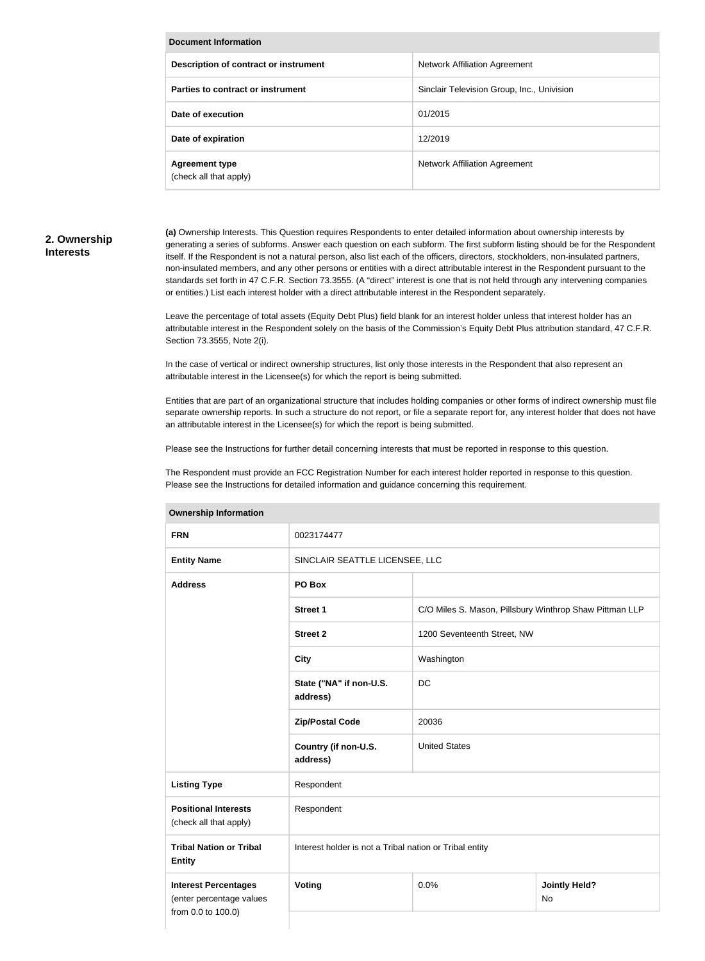| <b>Document Information</b>                     |                                            |  |  |
|-------------------------------------------------|--------------------------------------------|--|--|
| Description of contract or instrument           | Network Affiliation Agreement              |  |  |
| Parties to contract or instrument               | Sinclair Television Group, Inc., Univision |  |  |
| Date of execution                               | 01/2015                                    |  |  |
| Date of expiration                              | 12/2019                                    |  |  |
| <b>Agreement type</b><br>(check all that apply) | <b>Network Affiliation Agreement</b>       |  |  |

#### **2. Ownership Interests**

**(a)** Ownership Interests. This Question requires Respondents to enter detailed information about ownership interests by generating a series of subforms. Answer each question on each subform. The first subform listing should be for the Respondent itself. If the Respondent is not a natural person, also list each of the officers, directors, stockholders, non-insulated partners, non-insulated members, and any other persons or entities with a direct attributable interest in the Respondent pursuant to the standards set forth in 47 C.F.R. Section 73.3555. (A "direct" interest is one that is not held through any intervening companies or entities.) List each interest holder with a direct attributable interest in the Respondent separately.

Leave the percentage of total assets (Equity Debt Plus) field blank for an interest holder unless that interest holder has an attributable interest in the Respondent solely on the basis of the Commission's Equity Debt Plus attribution standard, 47 C.F.R. Section 73.3555, Note 2(i).

In the case of vertical or indirect ownership structures, list only those interests in the Respondent that also represent an attributable interest in the Licensee(s) for which the report is being submitted.

Entities that are part of an organizational structure that includes holding companies or other forms of indirect ownership must file separate ownership reports. In such a structure do not report, or file a separate report for, any interest holder that does not have an attributable interest in the Licensee(s) for which the report is being submitted.

Please see the Instructions for further detail concerning interests that must be reported in response to this question.

The Respondent must provide an FCC Registration Number for each interest holder reported in response to this question. Please see the Instructions for detailed information and guidance concerning this requirement.

| <b>FRN</b>                                                                    | 0023174477                                              |                                                         |                            |
|-------------------------------------------------------------------------------|---------------------------------------------------------|---------------------------------------------------------|----------------------------|
| <b>Entity Name</b>                                                            | SINCLAIR SEATTLE LICENSEE, LLC                          |                                                         |                            |
| <b>Address</b>                                                                | PO Box                                                  |                                                         |                            |
|                                                                               | <b>Street 1</b>                                         | C/O Miles S. Mason, Pillsbury Winthrop Shaw Pittman LLP |                            |
|                                                                               | <b>Street 2</b>                                         | 1200 Seventeenth Street, NW                             |                            |
|                                                                               | <b>City</b>                                             | Washington                                              |                            |
|                                                                               | State ("NA" if non-U.S.<br>address)                     | <b>DC</b>                                               |                            |
|                                                                               | <b>Zip/Postal Code</b>                                  | 20036                                                   |                            |
|                                                                               | Country (if non-U.S.<br>address)                        | <b>United States</b>                                    |                            |
| <b>Listing Type</b>                                                           | Respondent                                              |                                                         |                            |
| <b>Positional Interests</b><br>(check all that apply)                         | Respondent                                              |                                                         |                            |
| <b>Tribal Nation or Tribal</b><br><b>Entity</b>                               | Interest holder is not a Tribal nation or Tribal entity |                                                         |                            |
| <b>Interest Percentages</b><br>(enter percentage values<br>from 0.0 to 100.0) | Voting                                                  | 0.0%                                                    | <b>Jointly Held?</b><br>No |
|                                                                               |                                                         |                                                         |                            |

#### **Ownership Information**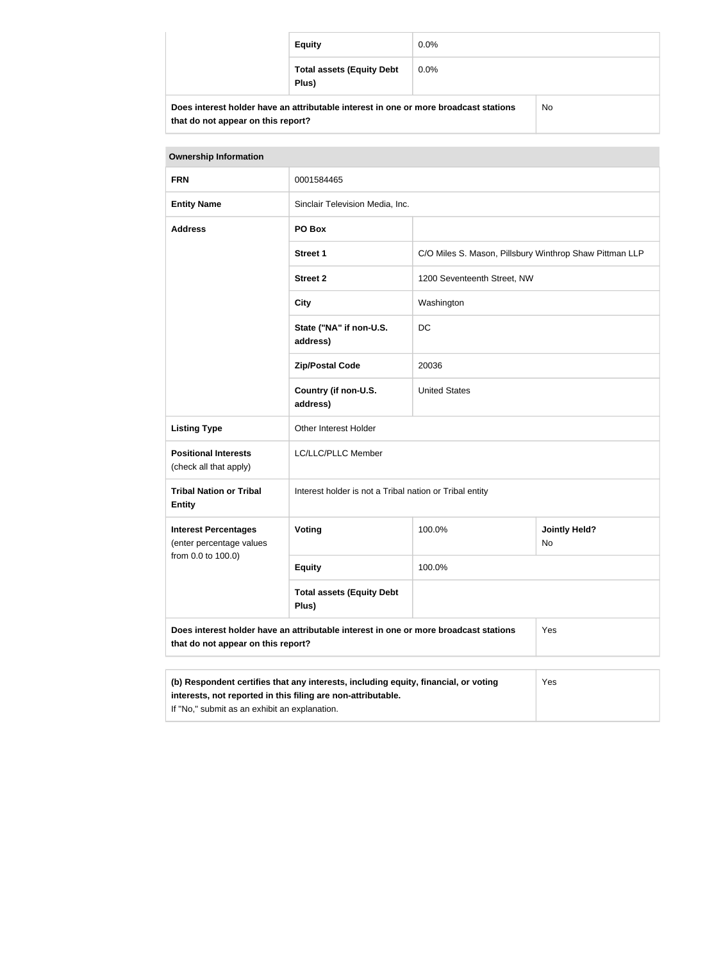|                                                                                            | <b>Equity</b>                             | $0.0\%$ |  |
|--------------------------------------------------------------------------------------------|-------------------------------------------|---------|--|
|                                                                                            | <b>Total assets (Equity Debt</b><br>Plus) | $0.0\%$ |  |
| Does interest holder have an attributable interest in one or more broadcast stations<br>No |                                           |         |  |

**that do not appear on this report?**

| <b>Ownership Information</b>                                                                                                                                                                                |                                                         |                                                         |                                   |
|-------------------------------------------------------------------------------------------------------------------------------------------------------------------------------------------------------------|---------------------------------------------------------|---------------------------------------------------------|-----------------------------------|
| <b>FRN</b>                                                                                                                                                                                                  | 0001584465                                              |                                                         |                                   |
| <b>Entity Name</b>                                                                                                                                                                                          | Sinclair Television Media, Inc.                         |                                                         |                                   |
| <b>Address</b>                                                                                                                                                                                              | PO Box                                                  |                                                         |                                   |
|                                                                                                                                                                                                             | <b>Street 1</b>                                         | C/O Miles S. Mason, Pillsbury Winthrop Shaw Pittman LLP |                                   |
|                                                                                                                                                                                                             | <b>Street 2</b>                                         | 1200 Seventeenth Street, NW                             |                                   |
|                                                                                                                                                                                                             | <b>City</b>                                             | Washington                                              |                                   |
|                                                                                                                                                                                                             | State ("NA" if non-U.S.<br>address)                     | <b>DC</b>                                               |                                   |
|                                                                                                                                                                                                             | <b>Zip/Postal Code</b>                                  | 20036                                                   |                                   |
|                                                                                                                                                                                                             | Country (if non-U.S.<br>address)                        | <b>United States</b>                                    |                                   |
| <b>Listing Type</b>                                                                                                                                                                                         | Other Interest Holder                                   |                                                         |                                   |
| <b>Positional Interests</b><br>(check all that apply)                                                                                                                                                       | LC/LLC/PLLC Member                                      |                                                         |                                   |
| <b>Tribal Nation or Tribal</b><br><b>Entity</b>                                                                                                                                                             | Interest holder is not a Tribal nation or Tribal entity |                                                         |                                   |
| <b>Interest Percentages</b><br>(enter percentage values                                                                                                                                                     | Voting                                                  | 100.0%                                                  | <b>Jointly Held?</b><br><b>No</b> |
| from 0.0 to 100.0)                                                                                                                                                                                          | <b>Equity</b>                                           | 100.0%                                                  |                                   |
|                                                                                                                                                                                                             | <b>Total assets (Equity Debt</b><br>Plus)               |                                                         |                                   |
| Does interest holder have an attributable interest in one or more broadcast stations<br>Yes<br>that do not appear on this report?                                                                           |                                                         |                                                         |                                   |
|                                                                                                                                                                                                             |                                                         |                                                         |                                   |
| (b) Respondent certifies that any interests, including equity, financial, or voting<br>Yes<br>interests, not reported in this filing are non-attributable.<br>If "No," submit as an exhibit an explanation. |                                                         |                                                         |                                   |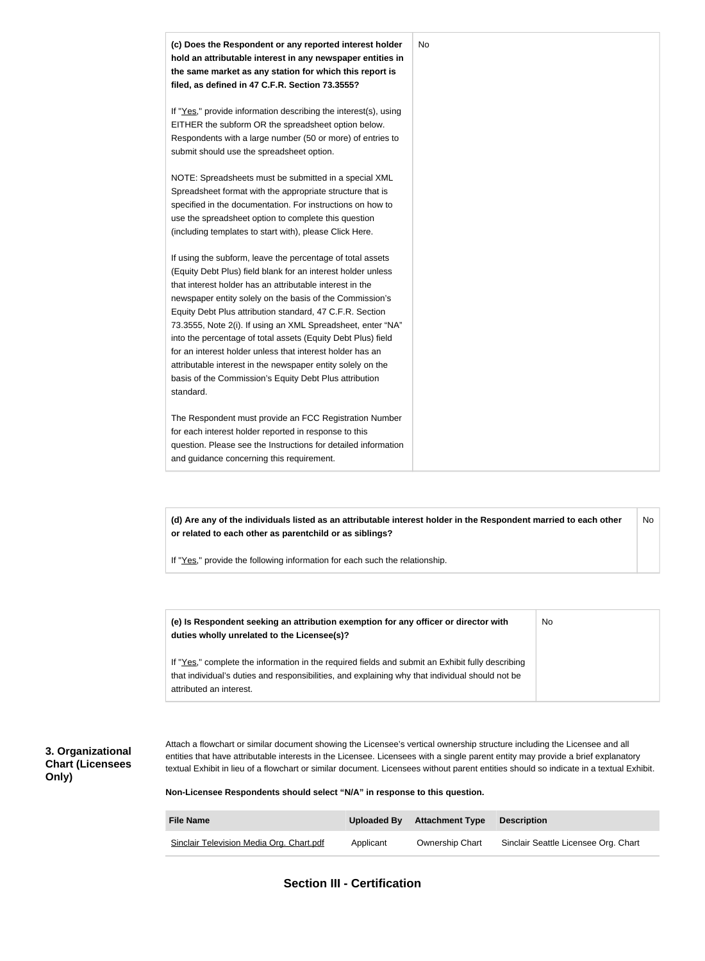

**(d) Are any of the individuals listed as an attributable interest holder in the Respondent married to each other or related to each other as parentchild or as siblings?** No

If "Yes," provide the following information for each such the relationship.

| (e) Is Respondent seeking an attribution exemption for any officer or director with<br>duties wholly unrelated to the Licensee(s)?                                                                                             | No |
|--------------------------------------------------------------------------------------------------------------------------------------------------------------------------------------------------------------------------------|----|
| If "Yes," complete the information in the required fields and submit an Exhibit fully describing<br>that individual's duties and responsibilities, and explaining why that individual should not be<br>attributed an interest. |    |

## **3. Organizational Chart (Licensees Only)**

Attach a flowchart or similar document showing the Licensee's vertical ownership structure including the Licensee and all entities that have attributable interests in the Licensee. Licensees with a single parent entity may provide a brief explanatory textual Exhibit in lieu of a flowchart or similar document. Licensees without parent entities should so indicate in a textual Exhibit.

**Non-Licensee Respondents should select "N/A" in response to this question.**

| <b>File Name</b>                         | Uploaded By | <b>Attachment Type</b> | <b>Description</b>                   |
|------------------------------------------|-------------|------------------------|--------------------------------------|
| Sinclair Television Media Org. Chart.pdf | Applicant   | <b>Ownership Chart</b> | Sinclair Seattle Licensee Org. Chart |